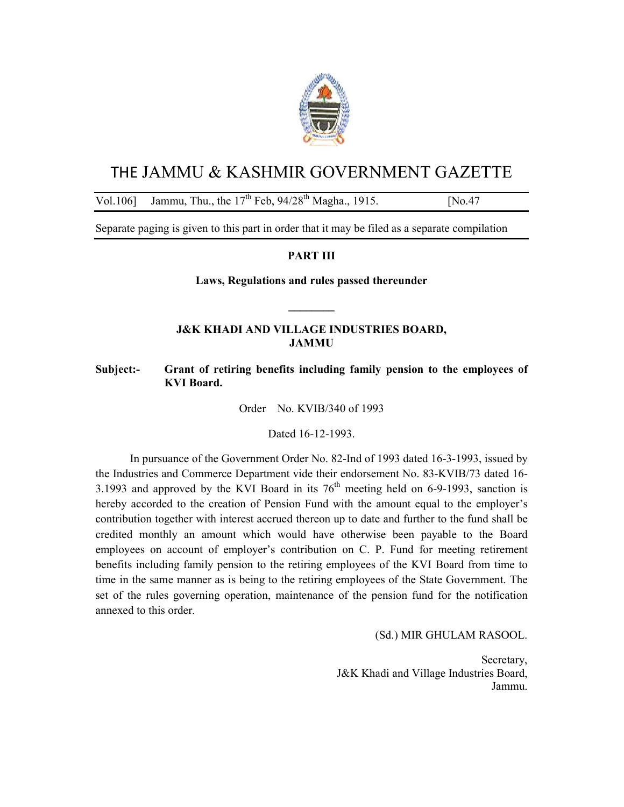

# THE JAMMU & KASHMIR GOVERNMENT GAZETTE

## Vol.106] Jammu, Thu., the  $17^{th}$  Feb,  $94/28^{th}$  Magha., 1915. [No.47]

Separate paging is given to this part in order that it may be filed as a separate compilation

## **PART III**

**Laws, Regulations and rules passed thereunder** 

**\_\_\_\_\_\_\_\_** 

## **J&K KHADI AND VILLAGE INDUSTRIES BOARD, JAMMU**

## **Subject:- Grant of retiring benefits including family pension to the employees of KVI Board.**

Order No. KVIB/340 of 1993

Dated 16-12-1993.

 In pursuance of the Government Order No. 82-Ind of 1993 dated 16-3-1993, issued by the Industries and Commerce Department vide their endorsement No. 83-KVIB/73 dated 16- 3.1993 and approved by the KVI Board in its  $76<sup>th</sup>$  meeting held on 6-9-1993, sanction is hereby accorded to the creation of Pension Fund with the amount equal to the employer's contribution together with interest accrued thereon up to date and further to the fund shall be credited monthly an amount which would have otherwise been payable to the Board employees on account of employer's contribution on C. P. Fund for meeting retirement benefits including family pension to the retiring employees of the KVI Board from time to time in the same manner as is being to the retiring employees of the State Government. The set of the rules governing operation, maintenance of the pension fund for the notification annexed to this order.

(Sd.) MIR GHULAM RASOOL.

Secretary, J&K Khadi and Village Industries Board, Jammu.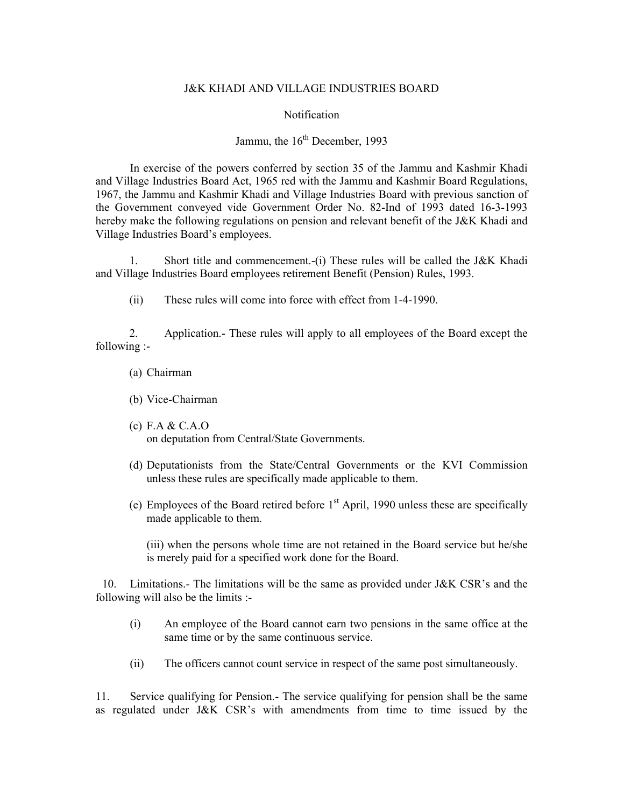#### J&K KHADI AND VILLAGE INDUSTRIES BOARD

#### Notification

## Jammu, the  $16<sup>th</sup>$  December, 1993

 In exercise of the powers conferred by section 35 of the Jammu and Kashmir Khadi and Village Industries Board Act, 1965 red with the Jammu and Kashmir Board Regulations, 1967, the Jammu and Kashmir Khadi and Village Industries Board with previous sanction of the Government conveyed vide Government Order No. 82-Ind of 1993 dated 16-3-1993 hereby make the following regulations on pension and relevant benefit of the J&K Khadi and Village Industries Board's employees.

1. Short title and commencement.-(i) These rules will be called the J&K Khadi and Village Industries Board employees retirement Benefit (Pension) Rules, 1993.

(ii) These rules will come into force with effect from 1-4-1990.

2. Application.- These rules will apply to all employees of the Board except the following :-

- (a) Chairman
- (b) Vice-Chairman
- (c) F.A & C.A.O on deputation from Central/State Governments.
- (d) Deputationists from the State/Central Governments or the KVI Commission unless these rules are specifically made applicable to them.
- (e) Employees of the Board retired before  $1<sup>st</sup>$  April, 1990 unless these are specifically made applicable to them.

(iii) when the persons whole time are not retained in the Board service but he/she is merely paid for a specified work done for the Board.

 10. Limitations.- The limitations will be the same as provided under J&K CSR's and the following will also be the limits :-

- (i) An employee of the Board cannot earn two pensions in the same office at the same time or by the same continuous service.
- (ii) The officers cannot count service in respect of the same post simultaneously.

11. Service qualifying for Pension.- The service qualifying for pension shall be the same as regulated under J&K CSR's with amendments from time to time issued by the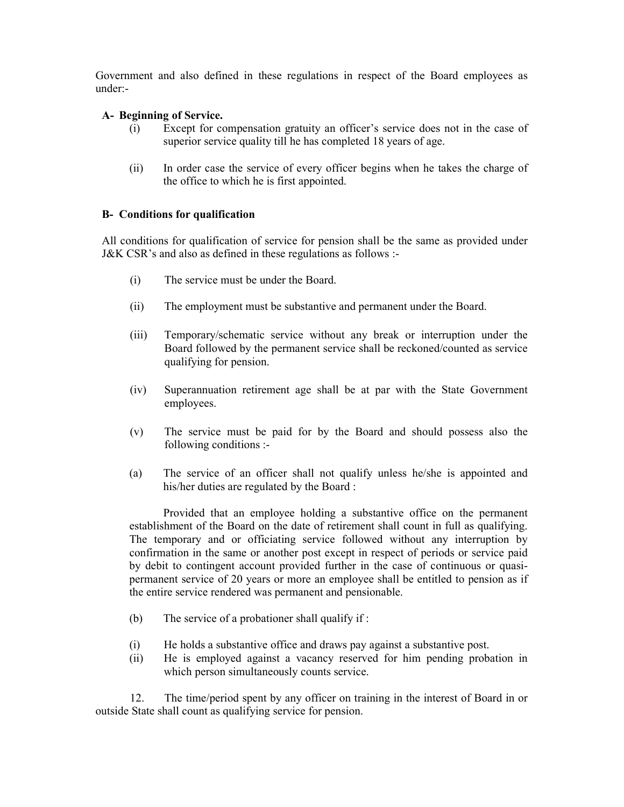Government and also defined in these regulations in respect of the Board employees as under:-

## **A- Beginning of Service.**

- (i) Except for compensation gratuity an officer's service does not in the case of superior service quality till he has completed 18 years of age.
- (ii) In order case the service of every officer begins when he takes the charge of the office to which he is first appointed.

## **B- Conditions for qualification**

All conditions for qualification of service for pension shall be the same as provided under J&K CSR's and also as defined in these regulations as follows :-

- (i) The service must be under the Board.
- (ii) The employment must be substantive and permanent under the Board.
- (iii) Temporary/schematic service without any break or interruption under the Board followed by the permanent service shall be reckoned/counted as service qualifying for pension.
- (iv) Superannuation retirement age shall be at par with the State Government employees.
- (v) The service must be paid for by the Board and should possess also the following conditions :-
- (a) The service of an officer shall not qualify unless he/she is appointed and his/her duties are regulated by the Board :

Provided that an employee holding a substantive office on the permanent establishment of the Board on the date of retirement shall count in full as qualifying. The temporary and or officiating service followed without any interruption by confirmation in the same or another post except in respect of periods or service paid by debit to contingent account provided further in the case of continuous or quasipermanent service of 20 years or more an employee shall be entitled to pension as if the entire service rendered was permanent and pensionable.

- (b) The service of a probationer shall qualify if :
- (i) He holds a substantive office and draws pay against a substantive post.
- (ii) He is employed against a vacancy reserved for him pending probation in which person simultaneously counts service.

 12. The time/period spent by any officer on training in the interest of Board in or outside State shall count as qualifying service for pension.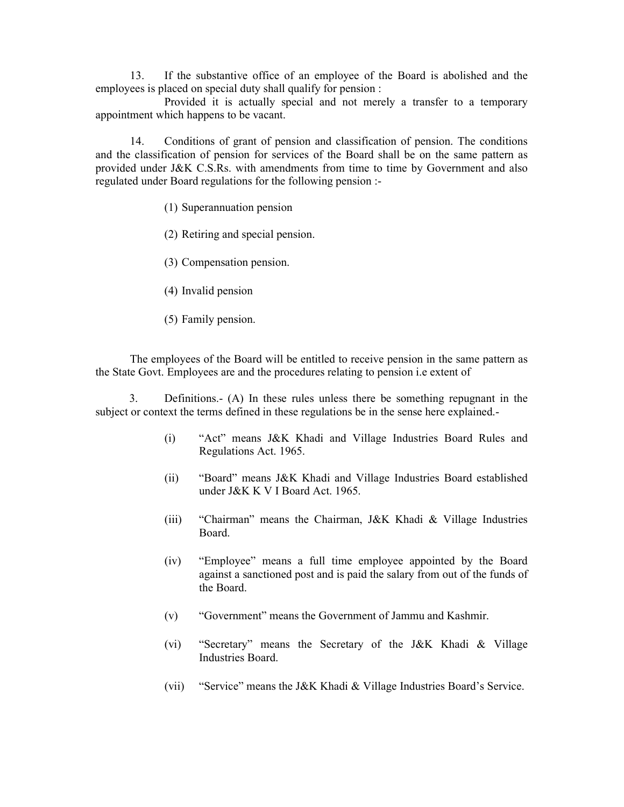13. If the substantive office of an employee of the Board is abolished and the employees is placed on special duty shall qualify for pension :

 Provided it is actually special and not merely a transfer to a temporary appointment which happens to be vacant.

 14. Conditions of grant of pension and classification of pension. The conditions and the classification of pension for services of the Board shall be on the same pattern as provided under J&K C.S.Rs. with amendments from time to time by Government and also regulated under Board regulations for the following pension :-

(1) Superannuation pension

(2) Retiring and special pension.

(3) Compensation pension.

(4) Invalid pension

(5) Family pension.

 The employees of the Board will be entitled to receive pension in the same pattern as the State Govt. Employees are and the procedures relating to pension i.e extent of

3. Definitions.- (A) In these rules unless there be something repugnant in the subject or context the terms defined in these regulations be in the sense here explained.-

- (i) "Act" means J&K Khadi and Village Industries Board Rules and Regulations Act. 1965.
- (ii) "Board" means J&K Khadi and Village Industries Board established under J&K K V I Board Act. 1965.
- (iii) "Chairman" means the Chairman, J&K Khadi & Village Industries Board.
- (iv) "Employee" means a full time employee appointed by the Board against a sanctioned post and is paid the salary from out of the funds of the Board.
- (v) "Government" means the Government of Jammu and Kashmir.
- (vi) "Secretary" means the Secretary of the J&K Khadi & Village Industries Board.
- (vii) "Service" means the J&K Khadi & Village Industries Board's Service.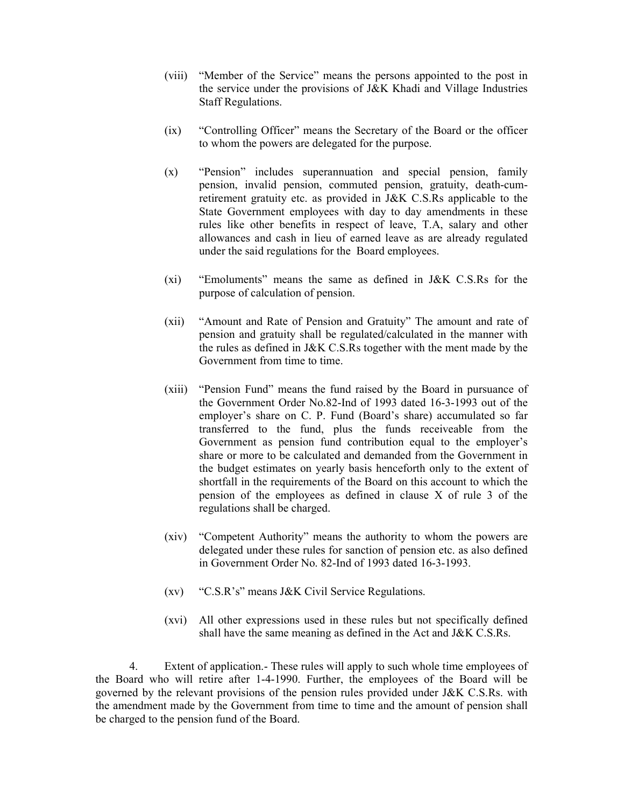- (viii) "Member of the Service" means the persons appointed to the post in the service under the provisions of J&K Khadi and Village Industries Staff Regulations.
- (ix) "Controlling Officer" means the Secretary of the Board or the officer to whom the powers are delegated for the purpose.
- (x) "Pension" includes superannuation and special pension, family pension, invalid pension, commuted pension, gratuity, death-cumretirement gratuity etc. as provided in J&K C.S.Rs applicable to the State Government employees with day to day amendments in these rules like other benefits in respect of leave, T.A, salary and other allowances and cash in lieu of earned leave as are already regulated under the said regulations for the Board employees.
- (xi) "Emoluments" means the same as defined in J&K C.S.Rs for the purpose of calculation of pension.
- (xii) "Amount and Rate of Pension and Gratuity" The amount and rate of pension and gratuity shall be regulated/calculated in the manner with the rules as defined in J&K C.S.Rs together with the ment made by the Government from time to time.
- (xiii) "Pension Fund" means the fund raised by the Board in pursuance of the Government Order No.82-Ind of 1993 dated 16-3-1993 out of the employer's share on C. P. Fund (Board's share) accumulated so far transferred to the fund, plus the funds receiveable from the Government as pension fund contribution equal to the employer's share or more to be calculated and demanded from the Government in the budget estimates on yearly basis henceforth only to the extent of shortfall in the requirements of the Board on this account to which the pension of the employees as defined in clause X of rule 3 of the regulations shall be charged.
- (xiv) "Competent Authority" means the authority to whom the powers are delegated under these rules for sanction of pension etc. as also defined in Government Order No. 82-Ind of 1993 dated 16-3-1993.
- (xv) "C.S.R's" means J&K Civil Service Regulations.
- (xvi) All other expressions used in these rules but not specifically defined shall have the same meaning as defined in the Act and J&K C.S.Rs.

4. Extent of application.- These rules will apply to such whole time employees of the Board who will retire after 1-4-1990. Further, the employees of the Board will be governed by the relevant provisions of the pension rules provided under J&K C.S.Rs. with the amendment made by the Government from time to time and the amount of pension shall be charged to the pension fund of the Board.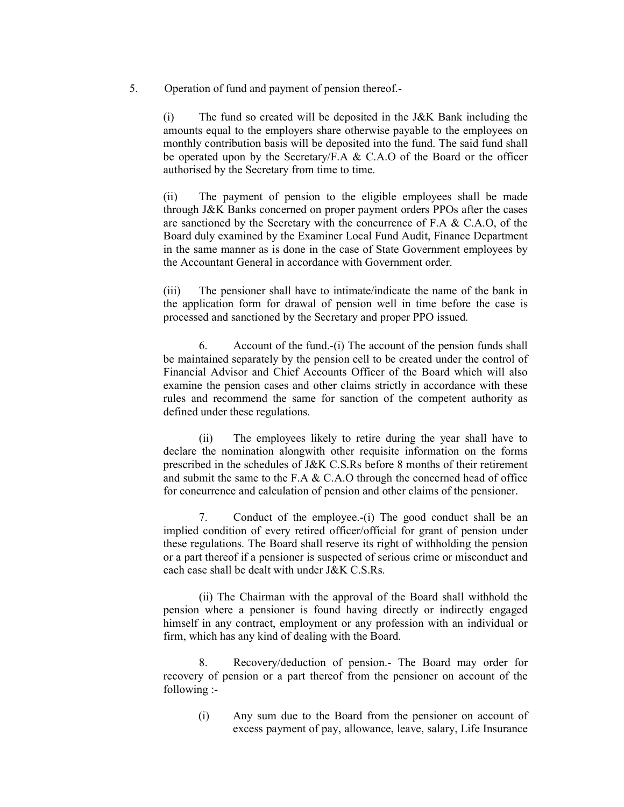5. Operation of fund and payment of pension thereof.-

(i) The fund so created will be deposited in the J&K Bank including the amounts equal to the employers share otherwise payable to the employees on monthly contribution basis will be deposited into the fund. The said fund shall be operated upon by the Secretary/F.A & C.A.O of the Board or the officer authorised by the Secretary from time to time.

(ii) The payment of pension to the eligible employees shall be made through J&K Banks concerned on proper payment orders PPOs after the cases are sanctioned by the Secretary with the concurrence of F.A & C.A.O, of the Board duly examined by the Examiner Local Fund Audit, Finance Department in the same manner as is done in the case of State Government employees by the Accountant General in accordance with Government order.

(iii) The pensioner shall have to intimate/indicate the name of the bank in the application form for drawal of pension well in time before the case is processed and sanctioned by the Secretary and proper PPO issued.

 6. Account of the fund.-(i) The account of the pension funds shall be maintained separately by the pension cell to be created under the control of Financial Advisor and Chief Accounts Officer of the Board which will also examine the pension cases and other claims strictly in accordance with these rules and recommend the same for sanction of the competent authority as defined under these regulations.

 (ii) The employees likely to retire during the year shall have to declare the nomination alongwith other requisite information on the forms prescribed in the schedules of J&K C.S.Rs before 8 months of their retirement and submit the same to the F.A & C.A.O through the concerned head of office for concurrence and calculation of pension and other claims of the pensioner.

 7. Conduct of the employee.-(i) The good conduct shall be an implied condition of every retired officer/official for grant of pension under these regulations. The Board shall reserve its right of withholding the pension or a part thereof if a pensioner is suspected of serious crime or misconduct and each case shall be dealt with under J&K C.S.Rs.

 (ii) The Chairman with the approval of the Board shall withhold the pension where a pensioner is found having directly or indirectly engaged himself in any contract, employment or any profession with an individual or firm, which has any kind of dealing with the Board.

 8. Recovery/deduction of pension.- The Board may order for recovery of pension or a part thereof from the pensioner on account of the following :-

(i) Any sum due to the Board from the pensioner on account of excess payment of pay, allowance, leave, salary, Life Insurance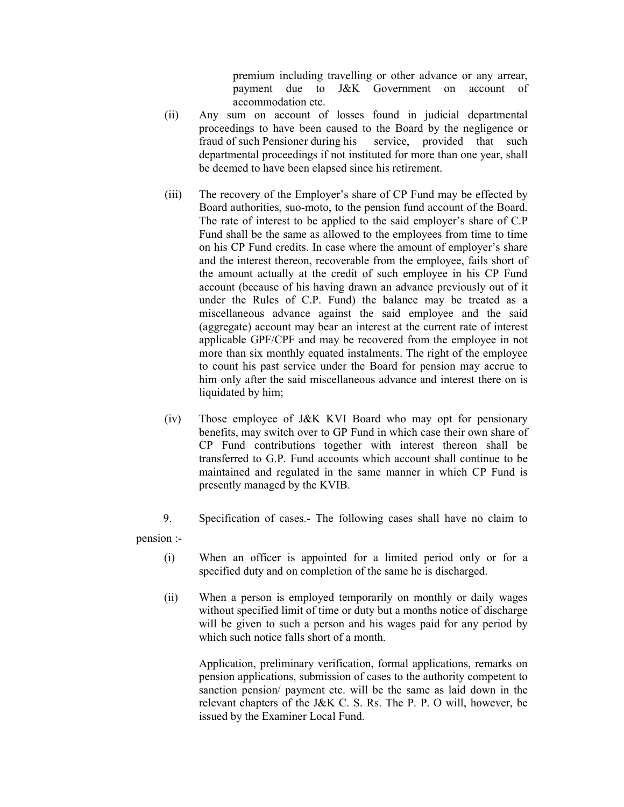premium including travelling or other advance or any arrear, payment due to J&K Government on account of accommodation etc.

- (ii) Any sum on account of losses found in judicial departmental proceedings to have been caused to the Board by the negligence or fraud of such Pensioner during his service, provided that such departmental proceedings if not instituted for more than one year, shall be deemed to have been elapsed since his retirement.
- (iii) The recovery of the Employer's share of CP Fund may be effected by Board authorities, suo-moto, to the pension fund account of the Board. The rate of interest to be applied to the said employer's share of C.P Fund shall be the same as allowed to the employees from time to time on his CP Fund credits. In case where the amount of employer's share and the interest thereon, recoverable from the employee, fails short of the amount actually at the credit of such employee in his CP Fund account (because of his having drawn an advance previously out of it under the Rules of C.P. Fund) the balance may be treated as a miscellaneous advance against the said employee and the said (aggregate) account may bear an interest at the current rate of interest applicable GPF/CPF and may be recovered from the employee in not more than six monthly equated instalments. The right of the employee to count his past service under the Board for pension may accrue to him only after the said miscellaneous advance and interest there on is liquidated by him;
- (iv) Those employee of J&K KVI Board who may opt for pensionary benefits, may switch over to GP Fund in which case their own share of CP Fund contributions together with interest thereon shall be transferred to G.P. Fund accounts which account shall continue to be maintained and regulated in the same manner in which CP Fund is presently managed by the KVIB.
- 9. Specification of cases.- The following cases shall have no claim to

pension :-

- (i) When an officer is appointed for a limited period only or for a specified duty and on completion of the same he is discharged.
- (ii) When a person is employed temporarily on monthly or daily wages without specified limit of time or duty but a months notice of discharge will be given to such a person and his wages paid for any period by which such notice falls short of a month.

 Application, preliminary verification, formal applications, remarks on pension applications, submission of cases to the authority competent to sanction pension/ payment etc. will be the same as laid down in the relevant chapters of the J&K C. S. Rs. The P. P. O will, however, be issued by the Examiner Local Fund.